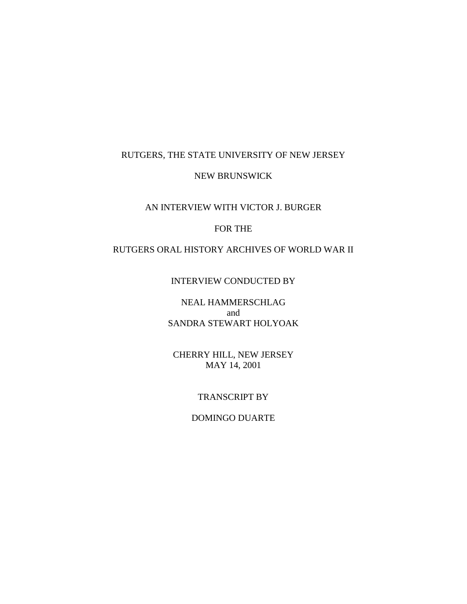### RUTGERS, THE STATE UNIVERSITY OF NEW JERSEY

#### NEW BRUNSWICK

### AN INTERVIEW WITH VICTOR J. BURGER

# FOR THE

# RUTGERS ORAL HISTORY ARCHIVES OF WORLD WAR II

### INTERVIEW CONDUCTED BY

# NEAL HAMMERSCHLAG and SANDRA STEWART HOLYOAK

## CHERRY HILL, NEW JERSEY MAY 14, 2001

### TRANSCRIPT BY

### DOMINGO DUARTE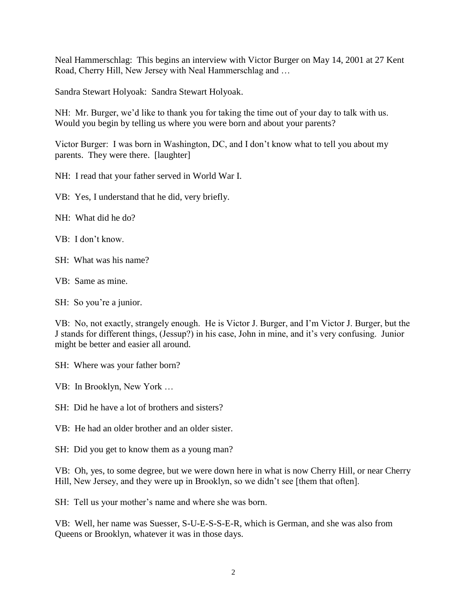Neal Hammerschlag: This begins an interview with Victor Burger on May 14, 2001 at 27 Kent Road, Cherry Hill, New Jersey with Neal Hammerschlag and …

Sandra Stewart Holyoak: Sandra Stewart Holyoak.

NH: Mr. Burger, we'd like to thank you for taking the time out of your day to talk with us. Would you begin by telling us where you were born and about your parents?

Victor Burger: I was born in Washington, DC, and I don't know what to tell you about my parents. They were there. [laughter]

NH: I read that your father served in World War I.

VB: Yes, I understand that he did, very briefly.

NH: What did he do?

VB: I don't know.

SH: What was his name?

VB: Same as mine.

SH: So you're a junior.

VB: No, not exactly, strangely enough. He is Victor J. Burger, and I'm Victor J. Burger, but the J stands for different things, (Jessup?) in his case, John in mine, and it's very confusing. Junior might be better and easier all around.

SH: Where was your father born?

VB: In Brooklyn, New York …

SH: Did he have a lot of brothers and sisters?

VB: He had an older brother and an older sister.

SH: Did you get to know them as a young man?

VB: Oh, yes, to some degree, but we were down here in what is now Cherry Hill, or near Cherry Hill, New Jersey, and they were up in Brooklyn, so we didn't see [them that often].

SH: Tell us your mother's name and where she was born.

VB: Well, her name was Suesser, S-U-E-S-S-E-R, which is German, and she was also from Queens or Brooklyn, whatever it was in those days.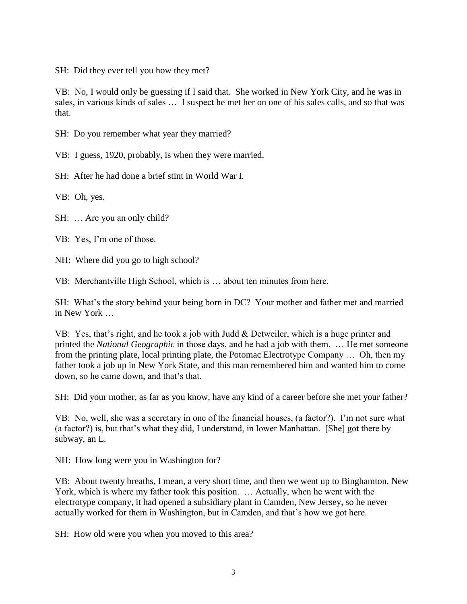SH: Did they ever tell you how they met?

VB: No, I would only be guessing if I said that. She worked in New York City, and he was in sales, in various kinds of sales … I suspect he met her on one of his sales calls, and so that was that.

SH: Do you remember what year they married?

VB: I guess, 1920, probably, is when they were married.

SH: After he had done a brief stint in World War I.

VB: Oh, yes.

SH: … Are you an only child?

VB: Yes, I'm one of those.

NH: Where did you go to high school?

VB: Merchantville High School, which is … about ten minutes from here.

SH: What's the story behind your being born in DC? Your mother and father met and married in New York

VB: Yes, that's right, and he took a job with Judd & Detweiler, which is a huge printer and printed the *National Geographic* in those days, and he had a job with them. … He met someone from the printing plate, local printing plate, the Potomac Electrotype Company … Oh, then my father took a job up in New York State, and this man remembered him and wanted him to come down, so he came down, and that's that.

SH: Did your mother, as far as you know, have any kind of a career before she met your father?

VB: No, well, she was a secretary in one of the financial houses, (a factor?). I'm not sure what (a factor?) is, but that's what they did, I understand, in lower Manhattan. [She] got there by subway, an L.

NH: How long were you in Washington for?

VB: About twenty breaths, I mean, a very short time, and then we went up to Binghamton, New York, which is where my father took this position. … Actually, when he went with the electrotype company, it had opened a subsidiary plant in Camden, New Jersey, so he never actually worked for them in Washington, but in Camden, and that's how we got here.

SH: How old were you when you moved to this area?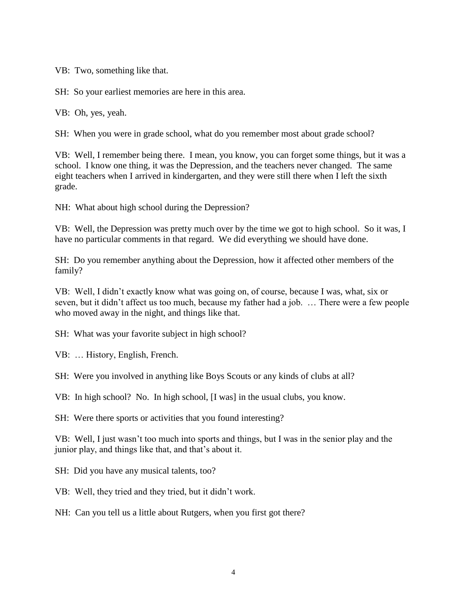VB: Two, something like that.

SH: So your earliest memories are here in this area.

VB: Oh, yes, yeah.

SH: When you were in grade school, what do you remember most about grade school?

VB: Well, I remember being there. I mean, you know, you can forget some things, but it was a school. I know one thing, it was the Depression, and the teachers never changed. The same eight teachers when I arrived in kindergarten, and they were still there when I left the sixth grade.

NH: What about high school during the Depression?

VB: Well, the Depression was pretty much over by the time we got to high school. So it was, I have no particular comments in that regard. We did everything we should have done.

SH: Do you remember anything about the Depression, how it affected other members of the family?

VB: Well, I didn't exactly know what was going on, of course, because I was, what, six or seven, but it didn't affect us too much, because my father had a job. … There were a few people who moved away in the night, and things like that.

SH: What was your favorite subject in high school?

VB: … History, English, French.

SH: Were you involved in anything like Boys Scouts or any kinds of clubs at all?

VB: In high school? No. In high school, [I was] in the usual clubs, you know.

SH: Were there sports or activities that you found interesting?

VB: Well, I just wasn't too much into sports and things, but I was in the senior play and the junior play, and things like that, and that's about it.

SH: Did you have any musical talents, too?

VB: Well, they tried and they tried, but it didn't work.

NH: Can you tell us a little about Rutgers, when you first got there?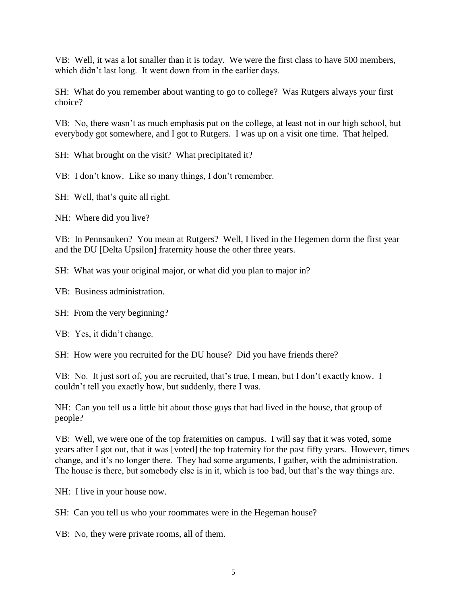VB: Well, it was a lot smaller than it is today. We were the first class to have 500 members, which didn't last long. It went down from in the earlier days.

SH: What do you remember about wanting to go to college? Was Rutgers always your first choice?

VB: No, there wasn't as much emphasis put on the college, at least not in our high school, but everybody got somewhere, and I got to Rutgers. I was up on a visit one time. That helped.

SH: What brought on the visit? What precipitated it?

VB: I don't know. Like so many things, I don't remember.

SH: Well, that's quite all right.

NH: Where did you live?

VB: In Pennsauken? You mean at Rutgers? Well, I lived in the Hegemen dorm the first year and the DU [Delta Upsilon] fraternity house the other three years.

SH: What was your original major, or what did you plan to major in?

VB: Business administration.

SH: From the very beginning?

VB: Yes, it didn't change.

SH: How were you recruited for the DU house? Did you have friends there?

VB: No. It just sort of, you are recruited, that's true, I mean, but I don't exactly know. I couldn't tell you exactly how, but suddenly, there I was.

NH: Can you tell us a little bit about those guys that had lived in the house, that group of people?

VB: Well, we were one of the top fraternities on campus. I will say that it was voted, some years after I got out, that it was [voted] the top fraternity for the past fifty years. However, times change, and it's no longer there. They had some arguments, I gather, with the administration. The house is there, but somebody else is in it, which is too bad, but that's the way things are.

NH: I live in your house now.

SH: Can you tell us who your roommates were in the Hegeman house?

VB: No, they were private rooms, all of them.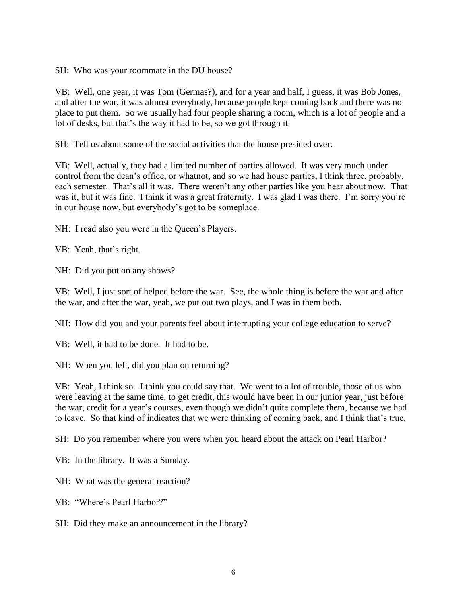SH: Who was your roommate in the DU house?

VB: Well, one year, it was Tom (Germas?), and for a year and half, I guess, it was Bob Jones, and after the war, it was almost everybody, because people kept coming back and there was no place to put them. So we usually had four people sharing a room, which is a lot of people and a lot of desks, but that's the way it had to be, so we got through it.

SH: Tell us about some of the social activities that the house presided over.

VB: Well, actually, they had a limited number of parties allowed. It was very much under control from the dean's office, or whatnot, and so we had house parties, I think three, probably, each semester. That's all it was. There weren't any other parties like you hear about now. That was it, but it was fine. I think it was a great fraternity. I was glad I was there. I'm sorry you're in our house now, but everybody's got to be someplace.

NH: I read also you were in the Queen's Players.

VB: Yeah, that's right.

NH: Did you put on any shows?

VB: Well, I just sort of helped before the war. See, the whole thing is before the war and after the war, and after the war, yeah, we put out two plays, and I was in them both.

NH: How did you and your parents feel about interrupting your college education to serve?

VB: Well, it had to be done. It had to be.

NH: When you left, did you plan on returning?

VB: Yeah, I think so. I think you could say that. We went to a lot of trouble, those of us who were leaving at the same time, to get credit, this would have been in our junior year, just before the war, credit for a year's courses, even though we didn't quite complete them, because we had to leave. So that kind of indicates that we were thinking of coming back, and I think that's true.

SH: Do you remember where you were when you heard about the attack on Pearl Harbor?

VB: In the library. It was a Sunday.

NH: What was the general reaction?

VB: "Where's Pearl Harbor?"

SH: Did they make an announcement in the library?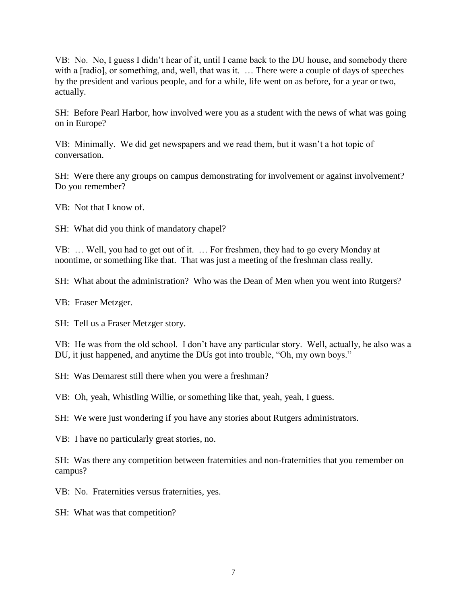VB: No. No, I guess I didn't hear of it, until I came back to the DU house, and somebody there with a [radio], or something, and, well, that was it. ... There were a couple of days of speeches by the president and various people, and for a while, life went on as before, for a year or two, actually.

SH: Before Pearl Harbor, how involved were you as a student with the news of what was going on in Europe?

VB: Minimally. We did get newspapers and we read them, but it wasn't a hot topic of conversation.

SH: Were there any groups on campus demonstrating for involvement or against involvement? Do you remember?

VB: Not that I know of.

SH: What did you think of mandatory chapel?

VB: … Well, you had to get out of it. … For freshmen, they had to go every Monday at noontime, or something like that. That was just a meeting of the freshman class really.

SH: What about the administration? Who was the Dean of Men when you went into Rutgers?

VB: Fraser Metzger.

SH: Tell us a Fraser Metzger story.

VB: He was from the old school. I don't have any particular story. Well, actually, he also was a DU, it just happened, and anytime the DUs got into trouble, "Oh, my own boys."

SH: Was Demarest still there when you were a freshman?

VB: Oh, yeah, Whistling Willie, or something like that, yeah, yeah, I guess.

SH: We were just wondering if you have any stories about Rutgers administrators.

VB: I have no particularly great stories, no.

SH: Was there any competition between fraternities and non-fraternities that you remember on campus?

VB: No. Fraternities versus fraternities, yes.

SH: What was that competition?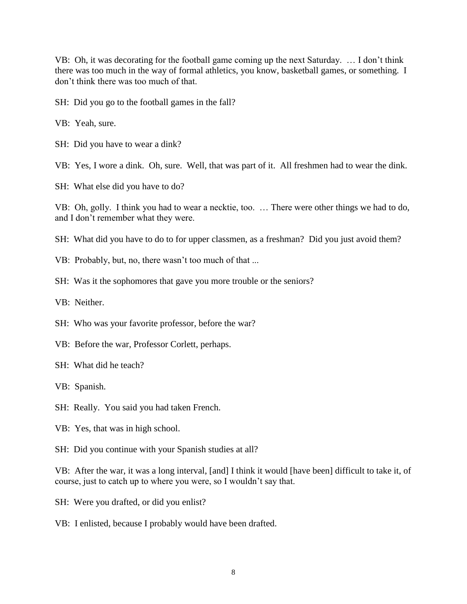VB: Oh, it was decorating for the football game coming up the next Saturday. … I don't think there was too much in the way of formal athletics, you know, basketball games, or something. I don't think there was too much of that.

SH: Did you go to the football games in the fall?

VB: Yeah, sure.

SH: Did you have to wear a dink?

VB: Yes, I wore a dink. Oh, sure. Well, that was part of it. All freshmen had to wear the dink.

SH: What else did you have to do?

VB: Oh, golly. I think you had to wear a necktie, too. … There were other things we had to do, and I don't remember what they were.

SH: What did you have to do to for upper classmen, as a freshman? Did you just avoid them?

- VB: Probably, but, no, there wasn't too much of that ...
- SH: Was it the sophomores that gave you more trouble or the seniors?
- VB: Neither.
- SH: Who was your favorite professor, before the war?
- VB: Before the war, Professor Corlett, perhaps.
- SH: What did he teach?

VB: Spanish.

- SH: Really. You said you had taken French.
- VB: Yes, that was in high school.

SH: Did you continue with your Spanish studies at all?

VB: After the war, it was a long interval, [and] I think it would [have been] difficult to take it, of course, just to catch up to where you were, so I wouldn't say that.

- SH: Were you drafted, or did you enlist?
- VB: I enlisted, because I probably would have been drafted.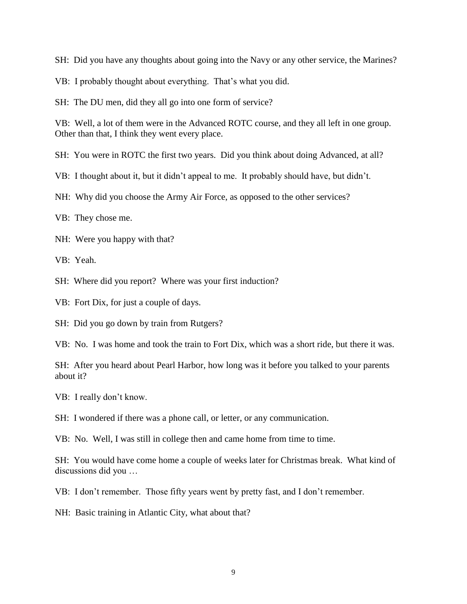SH: Did you have any thoughts about going into the Navy or any other service, the Marines?

VB: I probably thought about everything. That's what you did.

SH: The DU men, did they all go into one form of service?

VB: Well, a lot of them were in the Advanced ROTC course, and they all left in one group. Other than that, I think they went every place.

SH: You were in ROTC the first two years. Did you think about doing Advanced, at all?

VB: I thought about it, but it didn't appeal to me. It probably should have, but didn't.

NH: Why did you choose the Army Air Force, as opposed to the other services?

VB: They chose me.

NH: Were you happy with that?

VB: Yeah.

SH: Where did you report? Where was your first induction?

VB: Fort Dix, for just a couple of days.

SH: Did you go down by train from Rutgers?

VB: No. I was home and took the train to Fort Dix, which was a short ride, but there it was.

SH: After you heard about Pearl Harbor, how long was it before you talked to your parents about it?

VB: I really don't know.

SH: I wondered if there was a phone call, or letter, or any communication.

VB: No. Well, I was still in college then and came home from time to time.

SH: You would have come home a couple of weeks later for Christmas break. What kind of discussions did you …

VB: I don't remember. Those fifty years went by pretty fast, and I don't remember.

NH: Basic training in Atlantic City, what about that?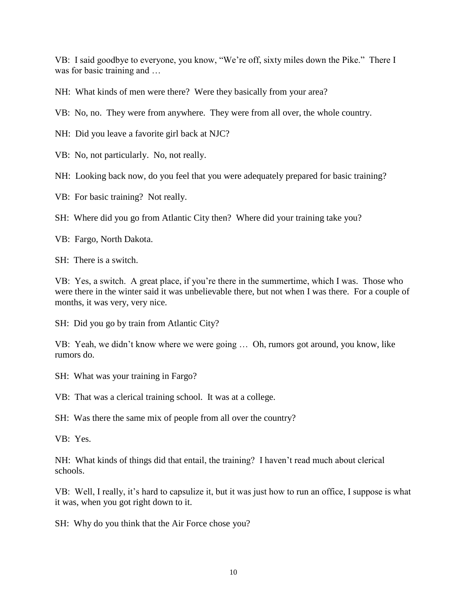VB: I said goodbye to everyone, you know, "We're off, sixty miles down the Pike." There I was for basic training and ...

NH: What kinds of men were there? Were they basically from your area?

VB: No, no. They were from anywhere. They were from all over, the whole country.

NH: Did you leave a favorite girl back at NJC?

VB: No, not particularly. No, not really.

NH: Looking back now, do you feel that you were adequately prepared for basic training?

VB: For basic training? Not really.

SH: Where did you go from Atlantic City then? Where did your training take you?

VB: Fargo, North Dakota.

SH: There is a switch.

VB: Yes, a switch. A great place, if you're there in the summertime, which I was. Those who were there in the winter said it was unbelievable there, but not when I was there. For a couple of months, it was very, very nice.

SH: Did you go by train from Atlantic City?

VB: Yeah, we didn't know where we were going … Oh, rumors got around, you know, like rumors do.

SH: What was your training in Fargo?

VB: That was a clerical training school. It was at a college.

SH: Was there the same mix of people from all over the country?

VB: Yes.

NH: What kinds of things did that entail, the training? I haven't read much about clerical schools.

VB: Well, I really, it's hard to capsulize it, but it was just how to run an office, I suppose is what it was, when you got right down to it.

SH: Why do you think that the Air Force chose you?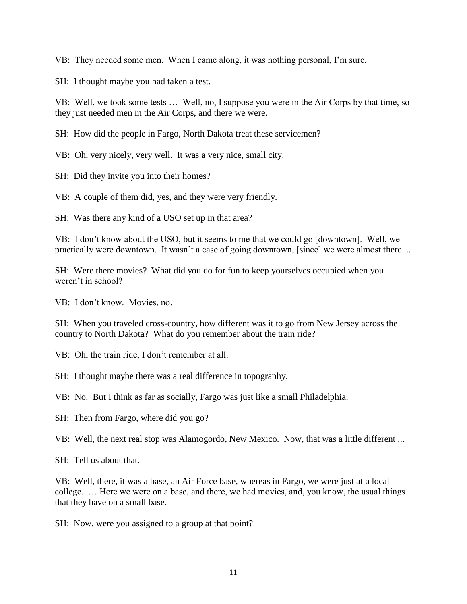VB: They needed some men. When I came along, it was nothing personal, I'm sure.

SH: I thought maybe you had taken a test.

VB: Well, we took some tests … Well, no, I suppose you were in the Air Corps by that time, so they just needed men in the Air Corps, and there we were.

SH: How did the people in Fargo, North Dakota treat these servicemen?

VB: Oh, very nicely, very well. It was a very nice, small city.

SH: Did they invite you into their homes?

VB: A couple of them did, yes, and they were very friendly.

SH: Was there any kind of a USO set up in that area?

VB: I don't know about the USO, but it seems to me that we could go [downtown]. Well, we practically were downtown. It wasn't a case of going downtown, [since] we were almost there ...

SH: Were there movies? What did you do for fun to keep yourselves occupied when you weren't in school?

VB: I don't know. Movies, no.

SH: When you traveled cross-country, how different was it to go from New Jersey across the country to North Dakota? What do you remember about the train ride?

VB: Oh, the train ride, I don't remember at all.

SH: I thought maybe there was a real difference in topography.

VB: No. But I think as far as socially, Fargo was just like a small Philadelphia.

SH: Then from Fargo, where did you go?

VB: Well, the next real stop was Alamogordo, New Mexico. Now, that was a little different ...

SH: Tell us about that.

VB: Well, there, it was a base, an Air Force base, whereas in Fargo, we were just at a local college. … Here we were on a base, and there, we had movies, and, you know, the usual things that they have on a small base.

SH: Now, were you assigned to a group at that point?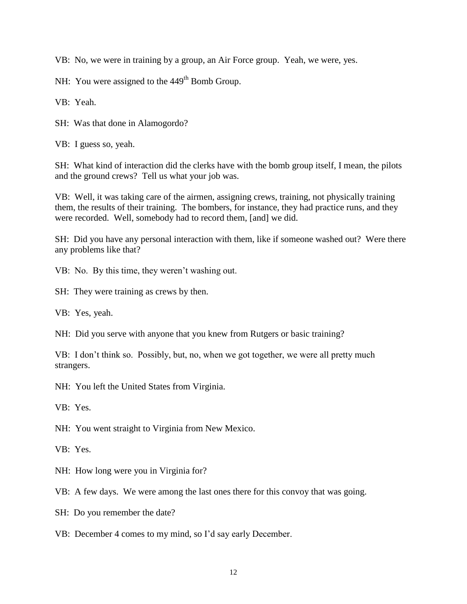VB: No, we were in training by a group, an Air Force group. Yeah, we were, yes.

NH: You were assigned to the 449<sup>th</sup> Bomb Group.

VB: Yeah.

SH: Was that done in Alamogordo?

VB: I guess so, yeah.

SH: What kind of interaction did the clerks have with the bomb group itself, I mean, the pilots and the ground crews? Tell us what your job was.

VB: Well, it was taking care of the airmen, assigning crews, training, not physically training them, the results of their training. The bombers, for instance, they had practice runs, and they were recorded. Well, somebody had to record them, [and] we did.

SH: Did you have any personal interaction with them, like if someone washed out? Were there any problems like that?

VB: No. By this time, they weren't washing out.

SH: They were training as crews by then.

VB: Yes, yeah.

NH: Did you serve with anyone that you knew from Rutgers or basic training?

VB: I don't think so. Possibly, but, no, when we got together, we were all pretty much strangers.

NH: You left the United States from Virginia.

VB: Yes.

NH: You went straight to Virginia from New Mexico.

VB: Yes.

NH: How long were you in Virginia for?

VB: A few days. We were among the last ones there for this convoy that was going.

SH: Do you remember the date?

VB: December 4 comes to my mind, so I'd say early December.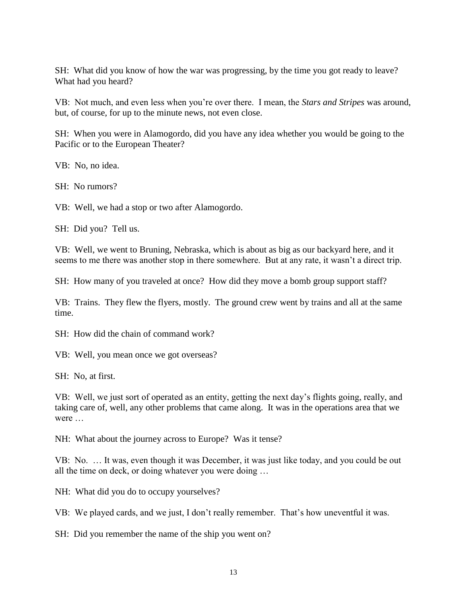SH: What did you know of how the war was progressing, by the time you got ready to leave? What had you heard?

VB: Not much, and even less when you're over there. I mean, the *Stars and Stripes* was around, but, of course, for up to the minute news, not even close.

SH: When you were in Alamogordo, did you have any idea whether you would be going to the Pacific or to the European Theater?

VB: No, no idea.

SH: No rumors?

VB: Well, we had a stop or two after Alamogordo.

SH: Did you? Tell us.

VB: Well, we went to Bruning, Nebraska, which is about as big as our backyard here, and it seems to me there was another stop in there somewhere. But at any rate, it wasn't a direct trip.

SH: How many of you traveled at once? How did they move a bomb group support staff?

VB: Trains. They flew the flyers, mostly. The ground crew went by trains and all at the same time.

SH: How did the chain of command work?

VB: Well, you mean once we got overseas?

SH: No, at first.

VB: Well, we just sort of operated as an entity, getting the next day's flights going, really, and taking care of, well, any other problems that came along. It was in the operations area that we were …

NH: What about the journey across to Europe? Was it tense?

VB: No. … It was, even though it was December, it was just like today, and you could be out all the time on deck, or doing whatever you were doing …

NH: What did you do to occupy yourselves?

VB: We played cards, and we just, I don't really remember. That's how uneventful it was.

SH: Did you remember the name of the ship you went on?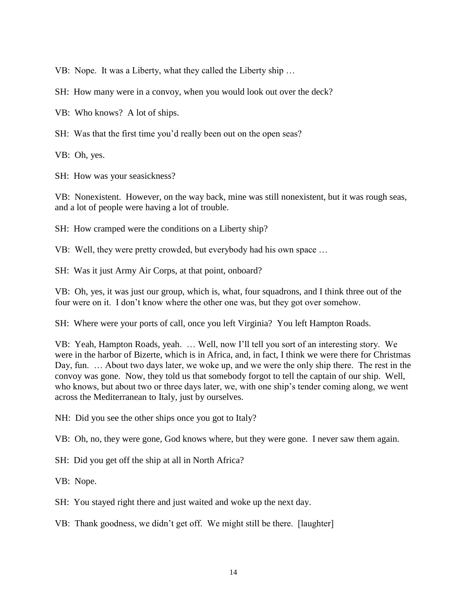VB: Nope. It was a Liberty, what they called the Liberty ship …

SH: How many were in a convoy, when you would look out over the deck?

VB: Who knows? A lot of ships.

SH: Was that the first time you'd really been out on the open seas?

VB: Oh, yes.

SH: How was your seasickness?

VB: Nonexistent. However, on the way back, mine was still nonexistent, but it was rough seas, and a lot of people were having a lot of trouble.

SH: How cramped were the conditions on a Liberty ship?

VB: Well, they were pretty crowded, but everybody had his own space …

SH: Was it just Army Air Corps, at that point, onboard?

VB: Oh, yes, it was just our group, which is, what, four squadrons, and I think three out of the four were on it. I don't know where the other one was, but they got over somehow.

SH: Where were your ports of call, once you left Virginia? You left Hampton Roads.

VB: Yeah, Hampton Roads, yeah. … Well, now I'll tell you sort of an interesting story. We were in the harbor of Bizerte, which is in Africa, and, in fact, I think we were there for Christmas Day, fun. … About two days later, we woke up, and we were the only ship there. The rest in the convoy was gone. Now, they told us that somebody forgot to tell the captain of our ship. Well, who knows, but about two or three days later, we, with one ship's tender coming along, we went across the Mediterranean to Italy, just by ourselves.

NH: Did you see the other ships once you got to Italy?

VB: Oh, no, they were gone, God knows where, but they were gone. I never saw them again.

SH: Did you get off the ship at all in North Africa?

VB: Nope.

SH: You stayed right there and just waited and woke up the next day.

VB: Thank goodness, we didn't get off. We might still be there. [laughter]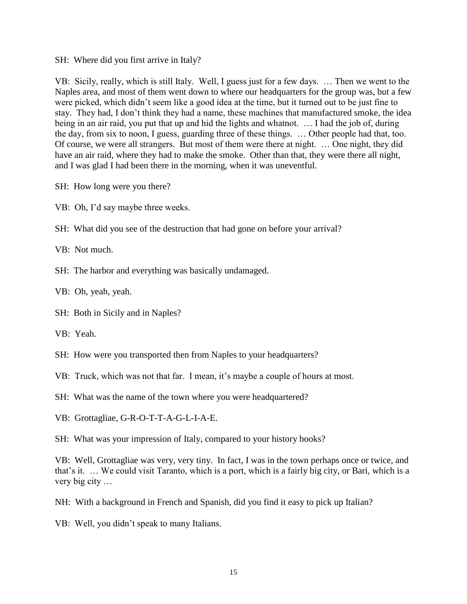#### SH: Where did you first arrive in Italy?

VB: Sicily, really, which is still Italy. Well, I guess just for a few days. … Then we went to the Naples area, and most of them went down to where our headquarters for the group was, but a few were picked, which didn't seem like a good idea at the time, but it turned out to be just fine to stay. They had, I don't think they had a name, these machines that manufactured smoke, the idea being in an air raid, you put that up and hid the lights and whatnot. … I had the job of, during the day, from six to noon, I guess, guarding three of these things. … Other people had that, too. Of course, we were all strangers. But most of them were there at night. … One night, they did have an air raid, where they had to make the smoke. Other than that, they were there all night, and I was glad I had been there in the morning, when it was uneventful.

- SH: How long were you there?
- VB: Oh, I'd say maybe three weeks.
- SH: What did you see of the destruction that had gone on before your arrival?

VB: Not much.

SH: The harbor and everything was basically undamaged.

VB: Oh, yeah, yeah.

- SH: Both in Sicily and in Naples?
- VB: Yeah.
- SH: How were you transported then from Naples to your headquarters?

VB: Truck, which was not that far. I mean, it's maybe a couple of hours at most.

- SH: What was the name of the town where you were headquartered?
- VB: Grottagliae, G-R-O-T-T-A-G-L-I-A-E.

SH: What was your impression of Italy, compared to your history books?

VB: Well, Grottagliae was very, very tiny. In fact, I was in the town perhaps once or twice, and that's it. … We could visit Taranto, which is a port, which is a fairly big city, or Bari, which is a very big city …

NH: With a background in French and Spanish, did you find it easy to pick up Italian?

VB: Well, you didn't speak to many Italians.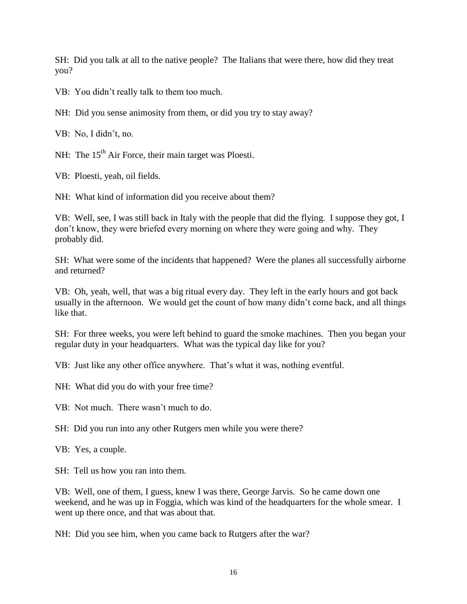SH: Did you talk at all to the native people? The Italians that were there, how did they treat you?

VB: You didn't really talk to them too much.

NH: Did you sense animosity from them, or did you try to stay away?

VB: No, I didn't, no.

NH: The  $15<sup>th</sup>$  Air Force, their main target was Ploesti.

VB: Ploesti, yeah, oil fields.

NH: What kind of information did you receive about them?

VB: Well, see, I was still back in Italy with the people that did the flying. I suppose they got, I don't know, they were briefed every morning on where they were going and why. They probably did.

SH: What were some of the incidents that happened? Were the planes all successfully airborne and returned?

VB: Oh, yeah, well, that was a big ritual every day. They left in the early hours and got back usually in the afternoon. We would get the count of how many didn't come back, and all things like that.

SH: For three weeks, you were left behind to guard the smoke machines. Then you began your regular duty in your headquarters. What was the typical day like for you?

VB: Just like any other office anywhere. That's what it was, nothing eventful.

NH: What did you do with your free time?

VB: Not much. There wasn't much to do.

SH: Did you run into any other Rutgers men while you were there?

VB: Yes, a couple.

SH: Tell us how you ran into them.

VB: Well, one of them, I guess, knew I was there, George Jarvis. So he came down one weekend, and he was up in Foggia, which was kind of the headquarters for the whole smear. I went up there once, and that was about that.

NH: Did you see him, when you came back to Rutgers after the war?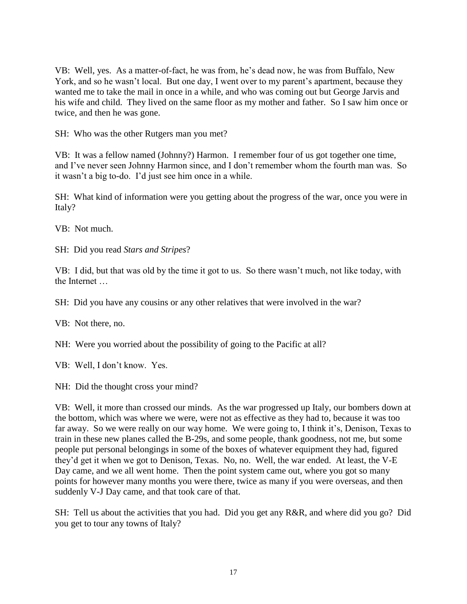VB: Well, yes. As a matter-of-fact, he was from, he's dead now, he was from Buffalo, New York, and so he wasn't local. But one day, I went over to my parent's apartment, because they wanted me to take the mail in once in a while, and who was coming out but George Jarvis and his wife and child. They lived on the same floor as my mother and father. So I saw him once or twice, and then he was gone.

SH: Who was the other Rutgers man you met?

VB: It was a fellow named (Johnny?) Harmon. I remember four of us got together one time, and I've never seen Johnny Harmon since, and I don't remember whom the fourth man was. So it wasn't a big to-do. I'd just see him once in a while.

SH: What kind of information were you getting about the progress of the war, once you were in Italy?

VB: Not much.

SH: Did you read *Stars and Stripes*?

VB: I did, but that was old by the time it got to us. So there wasn't much, not like today, with the Internet …

SH: Did you have any cousins or any other relatives that were involved in the war?

VB: Not there, no.

NH: Were you worried about the possibility of going to the Pacific at all?

VB: Well, I don't know. Yes.

NH: Did the thought cross your mind?

VB: Well, it more than crossed our minds. As the war progressed up Italy, our bombers down at the bottom, which was where we were, were not as effective as they had to, because it was too far away. So we were really on our way home. We were going to, I think it's, Denison, Texas to train in these new planes called the B-29s, and some people, thank goodness, not me, but some people put personal belongings in some of the boxes of whatever equipment they had, figured they'd get it when we got to Denison, Texas. No, no. Well, the war ended. At least, the V-E Day came, and we all went home. Then the point system came out, where you got so many points for however many months you were there, twice as many if you were overseas, and then suddenly V-J Day came, and that took care of that.

SH: Tell us about the activities that you had. Did you get any R&R, and where did you go? Did you get to tour any towns of Italy?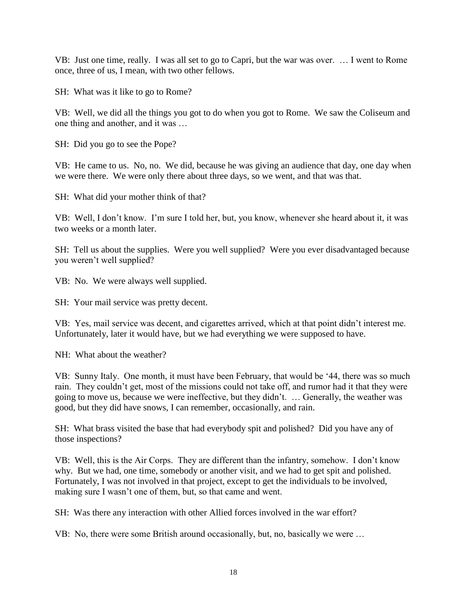VB: Just one time, really. I was all set to go to Capri, but the war was over. … I went to Rome once, three of us, I mean, with two other fellows.

SH: What was it like to go to Rome?

VB: Well, we did all the things you got to do when you got to Rome. We saw the Coliseum and one thing and another, and it was …

SH: Did you go to see the Pope?

VB: He came to us. No, no. We did, because he was giving an audience that day, one day when we were there. We were only there about three days, so we went, and that was that.

SH: What did your mother think of that?

VB: Well, I don't know. I'm sure I told her, but, you know, whenever she heard about it, it was two weeks or a month later.

SH: Tell us about the supplies. Were you well supplied? Were you ever disadvantaged because you weren't well supplied?

VB: No. We were always well supplied.

SH: Your mail service was pretty decent.

VB: Yes, mail service was decent, and cigarettes arrived, which at that point didn't interest me. Unfortunately, later it would have, but we had everything we were supposed to have.

NH: What about the weather?

VB: Sunny Italy. One month, it must have been February, that would be '44, there was so much rain. They couldn't get, most of the missions could not take off, and rumor had it that they were going to move us, because we were ineffective, but they didn't. … Generally, the weather was good, but they did have snows, I can remember, occasionally, and rain.

SH: What brass visited the base that had everybody spit and polished? Did you have any of those inspections?

VB: Well, this is the Air Corps. They are different than the infantry, somehow. I don't know why. But we had, one time, somebody or another visit, and we had to get spit and polished. Fortunately, I was not involved in that project, except to get the individuals to be involved, making sure I wasn't one of them, but, so that came and went.

SH: Was there any interaction with other Allied forces involved in the war effort?

VB: No, there were some British around occasionally, but, no, basically we were …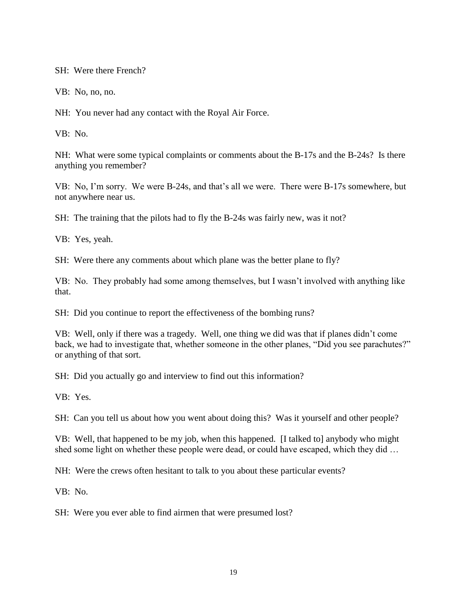SH: Were there French?

VB: No, no, no.

NH: You never had any contact with the Royal Air Force.

VB: No.

NH: What were some typical complaints or comments about the B-17s and the B-24s? Is there anything you remember?

VB: No, I'm sorry. We were B-24s, and that's all we were. There were B-17s somewhere, but not anywhere near us.

SH: The training that the pilots had to fly the B-24s was fairly new, was it not?

VB: Yes, yeah.

SH: Were there any comments about which plane was the better plane to fly?

VB: No. They probably had some among themselves, but I wasn't involved with anything like that.

SH: Did you continue to report the effectiveness of the bombing runs?

VB: Well, only if there was a tragedy. Well, one thing we did was that if planes didn't come back, we had to investigate that, whether someone in the other planes, "Did you see parachutes?" or anything of that sort.

SH: Did you actually go and interview to find out this information?

VB: Yes.

SH: Can you tell us about how you went about doing this? Was it yourself and other people?

VB: Well, that happened to be my job, when this happened. [I talked to] anybody who might shed some light on whether these people were dead, or could have escaped, which they did …

NH: Were the crews often hesitant to talk to you about these particular events?

VB: No.

SH: Were you ever able to find airmen that were presumed lost?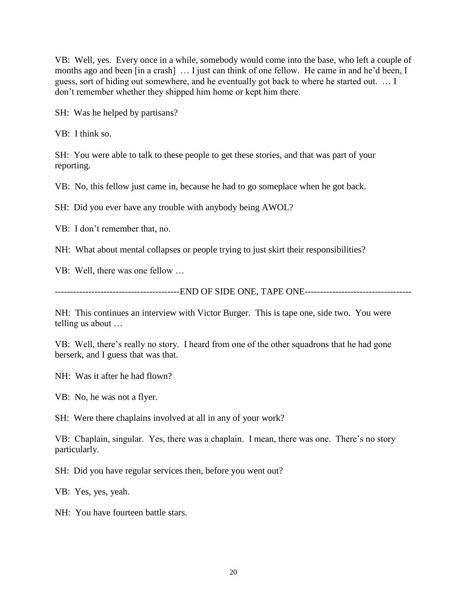VB: Well, yes. Every once in a while, somebody would come into the base, who left a couple of months ago and been [in a crash] … I just can think of one fellow. He came in and he'd been, I guess, sort of hiding out somewhere, and he eventually got back to where he started out. … I don't remember whether they shipped him home or kept him there.

SH: Was he helped by partisans?

VB: I think so.

SH: You were able to talk to these people to get these stories, and that was part of your reporting.

VB: No, this fellow just came in, because he had to go someplace when he got back.

SH: Did you ever have any trouble with anybody being AWOL?

VB: I don't remember that, no.

NH: What about mental collapses or people trying to just skirt their responsibilities?

VB: Well, there was one fellow …

-----------------------------------------END OF SIDE ONE, TAPE ONE-----------------------------------

NH: This continues an interview with Victor Burger. This is tape one, side two. You were telling us about …

VB: Well, there's really no story. I heard from one of the other squadrons that he had gone berserk, and I guess that was that.

NH: Was it after he had flown?

VB: No, he was not a flyer.

SH: Were there chaplains involved at all in any of your work?

VB: Chaplain, singular. Yes, there was a chaplain. I mean, there was one. There's no story particularly.

SH: Did you have regular services then, before you went out?

VB: Yes, yes, yeah.

NH: You have fourteen battle stars.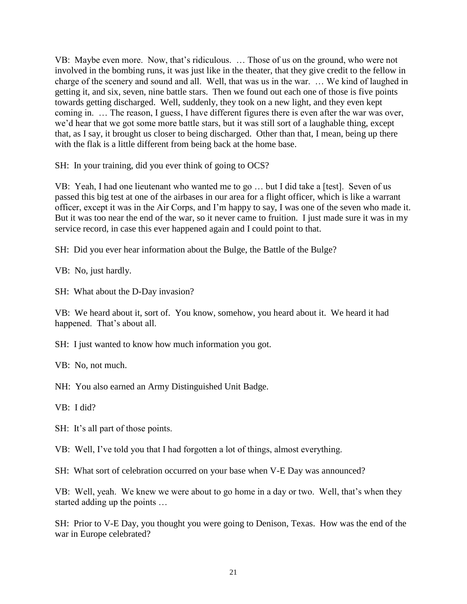VB: Maybe even more. Now, that's ridiculous. … Those of us on the ground, who were not involved in the bombing runs, it was just like in the theater, that they give credit to the fellow in charge of the scenery and sound and all. Well, that was us in the war. … We kind of laughed in getting it, and six, seven, nine battle stars. Then we found out each one of those is five points towards getting discharged. Well, suddenly, they took on a new light, and they even kept coming in. … The reason, I guess, I have different figures there is even after the war was over, we'd hear that we got some more battle stars, but it was still sort of a laughable thing, except that, as I say, it brought us closer to being discharged. Other than that, I mean, being up there with the flak is a little different from being back at the home base.

SH: In your training, did you ever think of going to OCS?

VB: Yeah, I had one lieutenant who wanted me to go … but I did take a [test]. Seven of us passed this big test at one of the airbases in our area for a flight officer, which is like a warrant officer, except it was in the Air Corps, and I'm happy to say, I was one of the seven who made it. But it was too near the end of the war, so it never came to fruition. I just made sure it was in my service record, in case this ever happened again and I could point to that.

SH: Did you ever hear information about the Bulge, the Battle of the Bulge?

VB: No, just hardly.

SH: What about the D-Day invasion?

VB: We heard about it, sort of. You know, somehow, you heard about it. We heard it had happened. That's about all.

SH: I just wanted to know how much information you got.

VB: No, not much.

NH: You also earned an Army Distinguished Unit Badge.

VB: I did?

SH: It's all part of those points.

VB: Well, I've told you that I had forgotten a lot of things, almost everything.

SH: What sort of celebration occurred on your base when V-E Day was announced?

VB: Well, yeah. We knew we were about to go home in a day or two. Well, that's when they started adding up the points …

SH: Prior to V-E Day, you thought you were going to Denison, Texas. How was the end of the war in Europe celebrated?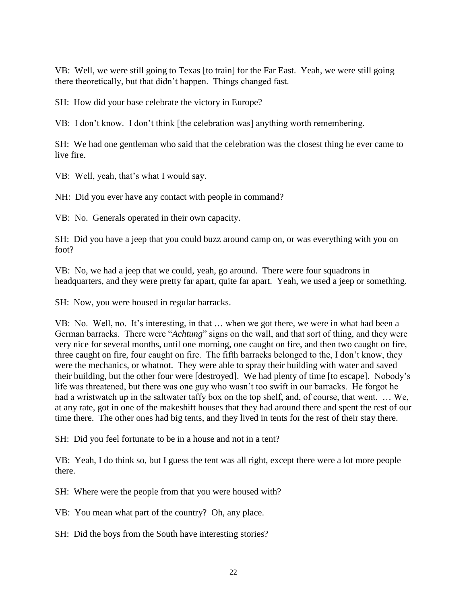VB: Well, we were still going to Texas [to train] for the Far East. Yeah, we were still going there theoretically, but that didn't happen. Things changed fast.

SH: How did your base celebrate the victory in Europe?

VB: I don't know. I don't think [the celebration was] anything worth remembering.

SH: We had one gentleman who said that the celebration was the closest thing he ever came to live fire.

VB: Well, yeah, that's what I would say.

NH: Did you ever have any contact with people in command?

VB: No. Generals operated in their own capacity.

SH: Did you have a jeep that you could buzz around camp on, or was everything with you on foot?

VB: No, we had a jeep that we could, yeah, go around. There were four squadrons in headquarters, and they were pretty far apart, quite far apart. Yeah, we used a jeep or something.

SH: Now, you were housed in regular barracks.

VB: No. Well, no. It's interesting, in that … when we got there, we were in what had been a German barracks. There were "*Achtung*" signs on the wall, and that sort of thing, and they were very nice for several months, until one morning, one caught on fire, and then two caught on fire, three caught on fire, four caught on fire. The fifth barracks belonged to the, I don't know, they were the mechanics, or whatnot. They were able to spray their building with water and saved their building, but the other four were [destroyed]. We had plenty of time [to escape]. Nobody's life was threatened, but there was one guy who wasn't too swift in our barracks. He forgot he had a wristwatch up in the saltwater taffy box on the top shelf, and, of course, that went. … We, at any rate, got in one of the makeshift houses that they had around there and spent the rest of our time there. The other ones had big tents, and they lived in tents for the rest of their stay there.

SH: Did you feel fortunate to be in a house and not in a tent?

VB: Yeah, I do think so, but I guess the tent was all right, except there were a lot more people there.

SH: Where were the people from that you were housed with?

VB: You mean what part of the country? Oh, any place.

SH: Did the boys from the South have interesting stories?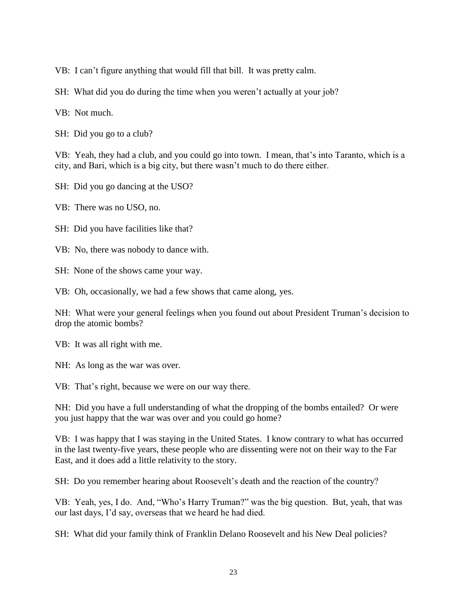- VB: I can't figure anything that would fill that bill. It was pretty calm.
- SH: What did you do during the time when you weren't actually at your job?
- VB: Not much.
- SH: Did you go to a club?

VB: Yeah, they had a club, and you could go into town. I mean, that's into Taranto, which is a city, and Bari, which is a big city, but there wasn't much to do there either.

- SH: Did you go dancing at the USO?
- VB: There was no USO, no.
- SH: Did you have facilities like that?
- VB: No, there was nobody to dance with.
- SH: None of the shows came your way.
- VB: Oh, occasionally, we had a few shows that came along, yes.

NH: What were your general feelings when you found out about President Truman's decision to drop the atomic bombs?

- VB: It was all right with me.
- NH: As long as the war was over.
- VB: That's right, because we were on our way there.
- NH: Did you have a full understanding of what the dropping of the bombs entailed? Or were you just happy that the war was over and you could go home?

VB: I was happy that I was staying in the United States. I know contrary to what has occurred in the last twenty-five years, these people who are dissenting were not on their way to the Far East, and it does add a little relativity to the story.

SH: Do you remember hearing about Roosevelt's death and the reaction of the country?

VB: Yeah, yes, I do. And, "Who's Harry Truman?" was the big question. But, yeah, that was our last days, I'd say, overseas that we heard he had died.

SH: What did your family think of Franklin Delano Roosevelt and his New Deal policies?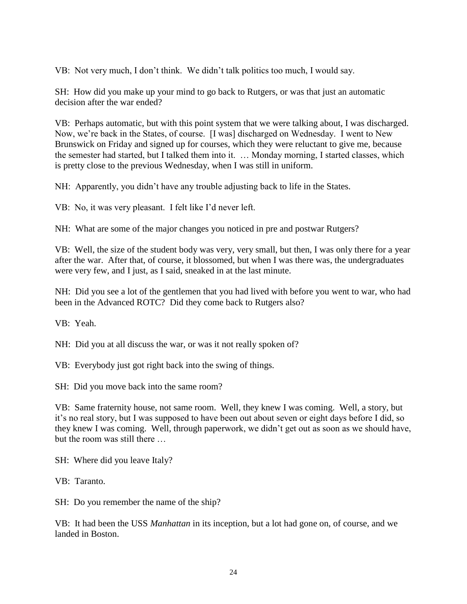VB: Not very much, I don't think. We didn't talk politics too much, I would say.

SH: How did you make up your mind to go back to Rutgers, or was that just an automatic decision after the war ended?

VB: Perhaps automatic, but with this point system that we were talking about, I was discharged. Now, we're back in the States, of course. [I was] discharged on Wednesday. I went to New Brunswick on Friday and signed up for courses, which they were reluctant to give me, because the semester had started, but I talked them into it. … Monday morning, I started classes, which is pretty close to the previous Wednesday, when I was still in uniform.

NH: Apparently, you didn't have any trouble adjusting back to life in the States.

VB: No, it was very pleasant. I felt like I'd never left.

NH: What are some of the major changes you noticed in pre and postwar Rutgers?

VB: Well, the size of the student body was very, very small, but then, I was only there for a year after the war. After that, of course, it blossomed, but when I was there was, the undergraduates were very few, and I just, as I said, sneaked in at the last minute.

NH: Did you see a lot of the gentlemen that you had lived with before you went to war, who had been in the Advanced ROTC? Did they come back to Rutgers also?

VB: Yeah.

NH: Did you at all discuss the war, or was it not really spoken of?

VB: Everybody just got right back into the swing of things.

SH: Did you move back into the same room?

VB: Same fraternity house, not same room. Well, they knew I was coming. Well, a story, but it's no real story, but I was supposed to have been out about seven or eight days before I did, so they knew I was coming. Well, through paperwork, we didn't get out as soon as we should have, but the room was still there …

SH: Where did you leave Italy?

VB: Taranto.

SH: Do you remember the name of the ship?

VB: It had been the USS *Manhattan* in its inception, but a lot had gone on, of course, and we landed in Boston.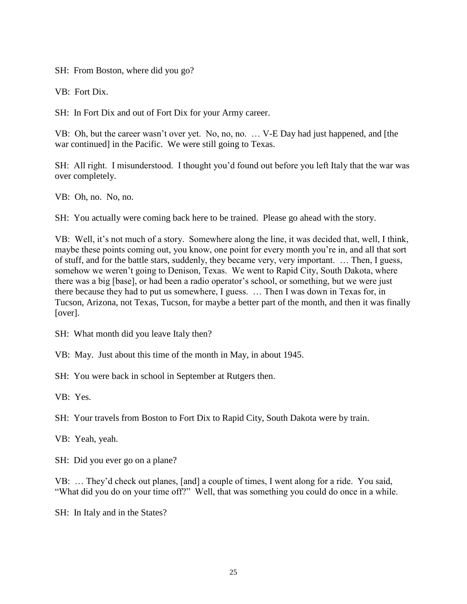SH: From Boston, where did you go?

VB: Fort Dix.

SH: In Fort Dix and out of Fort Dix for your Army career.

VB: Oh, but the career wasn't over yet. No, no, no. … V-E Day had just happened, and [the war continued] in the Pacific. We were still going to Texas.

SH: All right. I misunderstood. I thought you'd found out before you left Italy that the war was over completely.

VB: Oh, no. No, no.

SH: You actually were coming back here to be trained. Please go ahead with the story.

VB: Well, it's not much of a story. Somewhere along the line, it was decided that, well, I think, maybe these points coming out, you know, one point for every month you're in, and all that sort of stuff, and for the battle stars, suddenly, they became very, very important. … Then, I guess, somehow we weren't going to Denison, Texas. We went to Rapid City, South Dakota, where there was a big [base], or had been a radio operator's school, or something, but we were just there because they had to put us somewhere, I guess. … Then I was down in Texas for, in Tucson, Arizona, not Texas, Tucson, for maybe a better part of the month, and then it was finally [over].

SH: What month did you leave Italy then?

VB: May. Just about this time of the month in May, in about 1945.

SH: You were back in school in September at Rutgers then.

VB: Yes.

SH: Your travels from Boston to Fort Dix to Rapid City, South Dakota were by train.

VB: Yeah, yeah.

SH: Did you ever go on a plane?

VB: … They'd check out planes, [and] a couple of times, I went along for a ride. You said, "What did you do on your time off?" Well, that was something you could do once in a while.

SH: In Italy and in the States?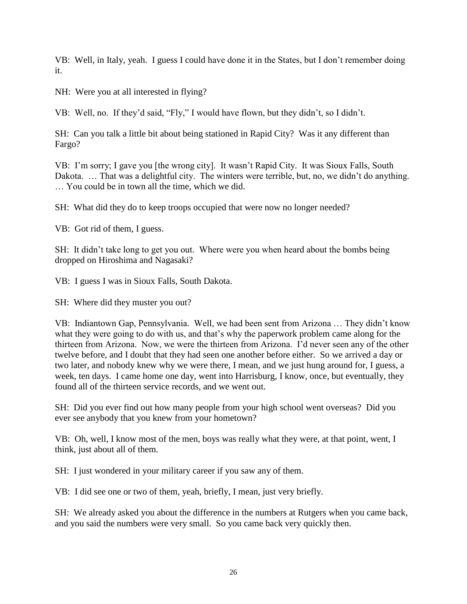VB: Well, in Italy, yeah. I guess I could have done it in the States, but I don't remember doing it.

NH: Were you at all interested in flying?

VB: Well, no. If they'd said, "Fly," I would have flown, but they didn't, so I didn't.

SH: Can you talk a little bit about being stationed in Rapid City? Was it any different than Fargo?

VB: I'm sorry; I gave you [the wrong city]. It wasn't Rapid City. It was Sioux Falls, South Dakota. … That was a delightful city. The winters were terrible, but, no, we didn't do anything. … You could be in town all the time, which we did.

SH: What did they do to keep troops occupied that were now no longer needed?

VB: Got rid of them, I guess.

SH: It didn't take long to get you out. Where were you when heard about the bombs being dropped on Hiroshima and Nagasaki?

VB: I guess I was in Sioux Falls, South Dakota.

SH: Where did they muster you out?

VB: Indiantown Gap, Pennsylvania. Well, we had been sent from Arizona … They didn't know what they were going to do with us, and that's why the paperwork problem came along for the thirteen from Arizona. Now, we were the thirteen from Arizona. I'd never seen any of the other twelve before, and I doubt that they had seen one another before either. So we arrived a day or two later, and nobody knew why we were there, I mean, and we just hung around for, I guess, a week, ten days. I came home one day, went into Harrisburg, I know, once, but eventually, they found all of the thirteen service records, and we went out.

SH: Did you ever find out how many people from your high school went overseas? Did you ever see anybody that you knew from your hometown?

VB: Oh, well, I know most of the men, boys was really what they were, at that point, went, I think, just about all of them.

SH: I just wondered in your military career if you saw any of them.

VB: I did see one or two of them, yeah, briefly, I mean, just very briefly.

SH: We already asked you about the difference in the numbers at Rutgers when you came back, and you said the numbers were very small. So you came back very quickly then.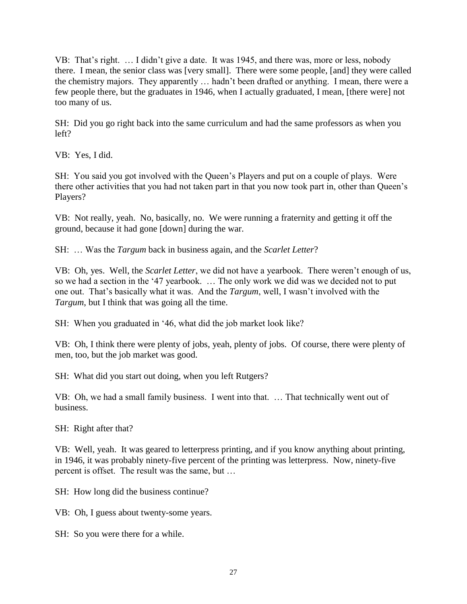VB: That's right. … I didn't give a date. It was 1945, and there was, more or less, nobody there. I mean, the senior class was [very small]. There were some people, [and] they were called the chemistry majors. They apparently … hadn't been drafted or anything. I mean, there were a few people there, but the graduates in 1946, when I actually graduated, I mean, [there were] not too many of us.

SH: Did you go right back into the same curriculum and had the same professors as when you left?

VB: Yes, I did.

SH: You said you got involved with the Queen's Players and put on a couple of plays. Were there other activities that you had not taken part in that you now took part in, other than Queen's Players?

VB: Not really, yeah. No, basically, no. We were running a fraternity and getting it off the ground, because it had gone [down] during the war.

SH: … Was the *Targum* back in business again, and the *Scarlet Letter*?

VB: Oh, yes. Well, the *Scarlet Letter*, we did not have a yearbook. There weren't enough of us, so we had a section in the '47 yearbook. … The only work we did was we decided not to put one out. That's basically what it was. And the *Targum*, well, I wasn't involved with the *Targum*, but I think that was going all the time.

SH: When you graduated in '46, what did the job market look like?

VB: Oh, I think there were plenty of jobs, yeah, plenty of jobs. Of course, there were plenty of men, too, but the job market was good.

SH: What did you start out doing, when you left Rutgers?

VB: Oh, we had a small family business. I went into that. … That technically went out of business.

SH: Right after that?

VB: Well, yeah. It was geared to letterpress printing, and if you know anything about printing, in 1946, it was probably ninety-five percent of the printing was letterpress. Now, ninety-five percent is offset. The result was the same, but …

SH: How long did the business continue?

VB: Oh, I guess about twenty-some years.

SH: So you were there for a while.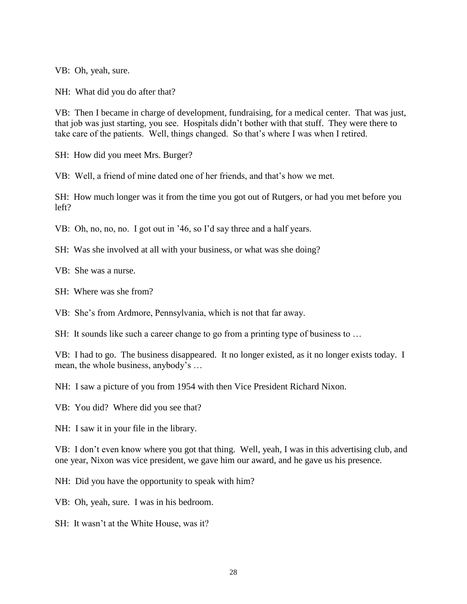VB: Oh, yeah, sure.

NH: What did you do after that?

VB: Then I became in charge of development, fundraising, for a medical center. That was just, that job was just starting, you see. Hospitals didn't bother with that stuff. They were there to take care of the patients. Well, things changed. So that's where I was when I retired.

SH: How did you meet Mrs. Burger?

VB: Well, a friend of mine dated one of her friends, and that's how we met.

SH: How much longer was it from the time you got out of Rutgers, or had you met before you left?

VB: Oh, no, no, no. I got out in '46, so I'd say three and a half years.

SH: Was she involved at all with your business, or what was she doing?

VB: She was a nurse.

SH: Where was she from?

VB: She's from Ardmore, Pennsylvania, which is not that far away.

SH: It sounds like such a career change to go from a printing type of business to …

VB: I had to go. The business disappeared. It no longer existed, as it no longer exists today. I mean, the whole business, anybody's …

NH: I saw a picture of you from 1954 with then Vice President Richard Nixon.

VB: You did? Where did you see that?

NH: I saw it in your file in the library.

VB: I don't even know where you got that thing. Well, yeah, I was in this advertising club, and one year, Nixon was vice president, we gave him our award, and he gave us his presence.

NH: Did you have the opportunity to speak with him?

VB: Oh, yeah, sure. I was in his bedroom.

SH: It wasn't at the White House, was it?